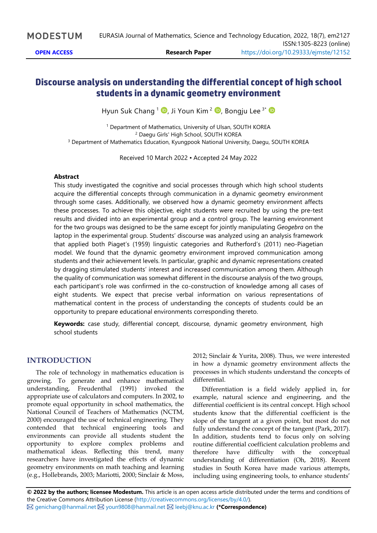# **Discourse analysis on understanding the differential concept of high school students in a dynamic geometry environment**

Hyun Suk Chang <sup>1</sup> D[,](https://orcid.org/0000-0003-2925-1076) Ji Youn Kim <sup>2</sup> D, Bongju Lee <sup>3\*</sup>

<sup>1</sup> Department of Mathematics, University of Ulsan, SOUTH KOREA <sup>2</sup> Daegu Girls' High School, SOUTH KOREA <sup>3</sup> Department of Mathematics Education, Kyungpook National University, Daegu, SOUTH KOREA

Received 10 March 2022 ▪ Accepted 24 May 2022

#### **Abstract**

This study investigated the cognitive and social processes through which high school students acquire the differential concepts through communication in a dynamic geometry environment through some cases. Additionally, we observed how a dynamic geometry environment affects these processes. To achieve this objective, eight students were recruited by using the pre-test results and divided into an experimental group and a control group. The learning environment for the two groups was designed to be the same except for jointly manipulating *Geogebra* on the laptop in the experimental group. Students' discourse was analyzed using an analysis framework that applied both Piaget's (1959) linguistic categories and Rutherford's (2011) neo-Piagetian model. We found that the dynamic geometry environment improved communication among students and their achievement levels. In particular, graphic and dynamic representations created by dragging stimulated students' interest and increased communication among them. Although the quality of communication was somewhat different in the discourse analysis of the two groups, each participant's role was confirmed in the co-construction of knowledge among all cases of eight students. We expect that precise verbal information on various representations of mathematical content in the process of understanding the concepts of students could be an opportunity to prepare educational environments corresponding thereto.

**Keywords:** case study, differential concept, discourse, dynamic geometry environment, high school students

#### **INTRODUCTION**

The role of technology in mathematics education is growing. To generate and enhance mathematical understanding, Freudenthal (1991) invoked the appropriate use of calculators and computers. In 2002, to promote equal opportunity in school mathematics, the National Council of Teachers of Mathematics (NCTM, 2000) encouraged the use of technical engineering. They contended that technical engineering tools and environments can provide all students student the opportunity to explore complex problems and mathematical ideas. Reflecting this trend, many researchers have investigated the effects of dynamic geometry environments on math teaching and learning (e.g., Hollebrands, 2003; Mariotti, 2000; Sinclair & Moss,

2012; Sinclair & Yurita, 2008). Thus, we were interested in how a dynamic geometry environment affects the processes in which students understand the concepts of differential.

Differentiation is a field widely applied in, for example, natural science and engineering, and the differential coefficient is its central concept. High school students know that the differential coefficient is the slope of the tangent at a given point, but most do not fully understand the concept of the tangent (Park, 2017). In addition, students tend to focus only on solving routine differential coefficient calculation problems and therefore have difficulty with the conceptual understanding of differentiation (Oh, 2018). Recent studies in South Korea have made various attempts, including using engineering tools, to enhance students'

**© 2022 by the authors; licensee Modestum.** This article is an open access article distributed under the terms and conditions of the Creative Commons Attribution License [\(http://creativecommons.org/licenses/by/4.0/\)](http://creativecommons.org/licenses/by/4.0/). [genichang@hanmail.net](mailto:genichang@hanmail.net) [youn9808@hanmail.net](mailto:youn9808@hanmail.net) [leebj@knu.ac.kr](mailto:leebj@knu.ac.kr) **(\*Correspondence)**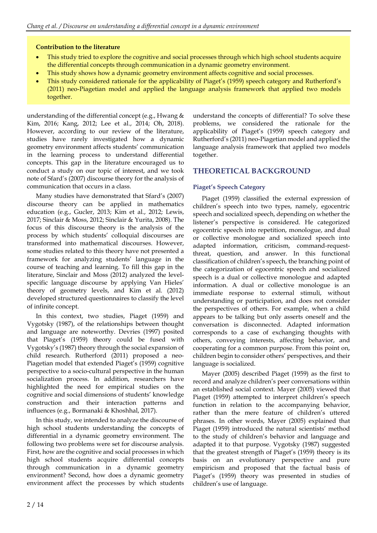#### **Contribution to the literature**

- This study tried to explore the cognitive and social processes through which high school students acquire the differential concepts through communication in a dynamic geometry environment.
- This study shows how a dynamic geometry environment affects cognitive and social processes.
- This study considered rationale for the applicability of Piaget's (1959) speech category and Rutherford's (2011) neo-Piagetian model and applied the language analysis framework that applied two models together.

understanding of the differential concept (e.g., Hwang & Kim, 2016; Kang, 2012; Lee et al., 2014; Oh, 2018). However, according to our review of the literature, studies have rarely investigated how a dynamic geometry environment affects students' communication in the learning process to understand differential concepts. This gap in the literature encouraged us to conduct a study on our topic of interest, and we took note of Sfard's (2007) discourse theory for the analysis of communication that occurs in a class.

Many studies have demonstrated that Sfard's (2007) discourse theory can be applied in mathematics education (e.g., Gucler, 2013; Kim et al., 2012; Lewis, 2017; Sinclair & Moss, 2012; Sinclair & Yurita, 2008). The focus of this discourse theory is the analysis of the process by which students' colloquial discourses are transformed into mathematical discourses. However, some studies related to this theory have not presented a framework for analyzing students' language in the course of teaching and learning. To fill this gap in the literature, Sinclair and Moss (2012) analyzed the levelspecific language discourse by applying Van Hieles' theory of geometry levels, and Kim et al. (2012) developed structured questionnaires to classify the level of infinite concept.

In this context, two studies, Piaget (1959) and Vygotsky (1987), of the relationships between thought and language are noteworthy. Devries (1997) posited that Piaget's (1959) theory could be fused with Vygotsky's (1987) theory through the social expansion of child research. Rutherford (2011) proposed a neo-Piagetian model that extended Piaget's (1959) cognitive perspective to a socio-cultural perspective in the human socialization process. In addition, researchers have highlighted the need for empirical studies on the cognitive and social dimensions of students' knowledge construction and their interaction patterns and influences (e.g., Bormanaki & Khoshhal, 2017).

In this study, we intended to analyze the discourse of high school students understanding the concepts of differential in a dynamic geometry environment. The following two problems were set for discourse analysis. First, how are the cognitive and social processes in which high school students acquire differential concepts through communication in a dynamic geometry environment? Second, how does a dynamic geometry environment affect the processes by which students understand the concepts of differential? To solve these problems, we considered the rationale for the applicability of Piaget's (1959) speech category and Rutherford's (2011) neo-Piagetian model and applied the language analysis framework that applied two models together.

# **THEORETICAL BACKGROUND**

#### **Piaget's Speech Category**

Piaget (1959) classified the external expression of children's speech into two types, namely, egocentric speech and socialized speech, depending on whether the listener's perspective is considered. He categorized egocentric speech into repetition, monologue, and dual or collective monologue and socialized speech into adapted information, criticism, command-requestthreat, question, and answer. In this functional classification of children's speech, the branching point of the categorization of egocentric speech and socialized speech is a dual or collective monologue and adapted information. A dual or collective monologue is an immediate response to external stimuli, without understanding or participation, and does not consider the perspectives of others. For example, when a child appears to be talking but only asserts oneself and the conversation is disconnected. Adapted information corresponds to a case of exchanging thoughts with others, conveying interests, affecting behavior, and cooperating for a common purpose. From this point on, children begin to consider others' perspectives, and their language is socialized.

Mayer (2005) described Piaget (1959) as the first to record and analyze children's peer conversations within an established social context. Mayer (2005) viewed that Piaget (1959) attempted to interpret children's speech function in relation to the accompanying behavior, rather than the mere feature of children's uttered phrases. In other words, Mayer (2005) explained that Piaget (1959) introduced the natural scientists' method to the study of children's behavior and language and adapted it to that purpose. Vygotsky (1987) suggested that the greatest strength of Piaget's (1959) theory is its basis on an evolutionary perspective and pure empiricism and proposed that the factual basis of Piaget's (1959) theory was presented in studies of children's use of language.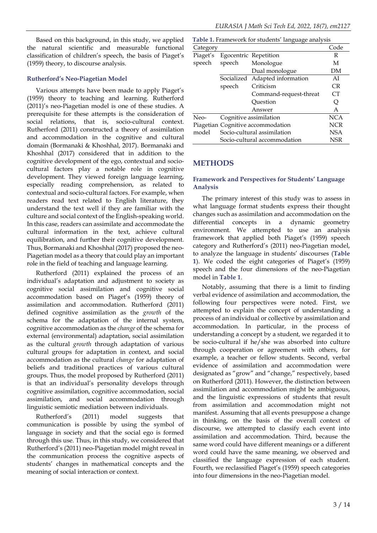Based on this background, in this study, we applied the natural scientific and measurable functional classification of children's speech, the basis of Piaget's (1959) theory, to discourse analysis.

#### **Rutherford's Neo-Piagetian Model**

Various attempts have been made to apply Piaget's (1959) theory to teaching and learning. Rutherford (2011)'s neo-Piagetian model is one of these studies. A prerequisite for these attempts is the consideration of social relations, that is, socio-cultural context. Rutherford (2011) constructed a theory of assimilation and accommodation in the cognitive and cultural domain (Bormanaki & Khoshhal, 2017). Bormanaki and Khoshhal (2017) considered that in addition to the cognitive development of the ego, contextual and sociocultural factors play a notable role in cognitive development. They viewed foreign language learning, especially reading comprehension, as related to contextual and socio-cultural factors. For example, when readers read text related to English literature, they understand the text well if they are familiar with the culture and social context of the English-speaking world. In this case, readers can assimilate and accommodate the cultural information in the text, achieve cultural equilibration, and further their cognitive development. Thus, Bormanaki and Khoshhal (2017) proposed the neo-Piagetian model as a theory that could play an important role in the field of teaching and language learning.

Rutherford (2011) explained the process of an individual's adaptation and adjustment to society as cognitive social assimilation and cognitive social accommodation based on Piaget's (1959) theory of assimilation and accommodation. Rutherford (2011) defined cognitive assimilation as the *growth* of the schema for the adaptation of the internal system, cognitive accommodation as the *change* of the schema for external (environmental) adaptation, social assimilation as the cultural *growth* through adaptation of various cultural groups for adaptation in context, and social accommodation as the cultural *change* for adaptation of beliefs and traditional practices of various cultural groups. Thus, the model proposed by Rutherford (2011) is that an individual's personality develops through cognitive assimilation, cognitive accommodation, social assimilation, and social accommodation through linguistic semiotic mediation between individuals.

Rutherford's (2011) model suggests that communication is possible by using the symbol of language in society and that the social ego is formed through this use. Thus, in this study, we considered that Rutherford's (2011) neo-Piagetian model might reveal in the communication process the cognitive aspects of students' changes in mathematical concepts and the meaning of social interaction or context.

|          |            | Table 1. Framework for students' language analysis |            |
|----------|------------|----------------------------------------------------|------------|
| Category |            |                                                    | Code       |
| Piaget's |            | Egocentric Repetition                              | R          |
| speech   | speech     | Monologue                                          | М          |
|          |            | Dual monologue                                     | DΜ         |
|          | Socialized | Adapted information                                | AI         |
|          | speech     | Criticism                                          | CR         |
|          |            | Command-request-threat                             | СT         |
|          |            | Ouestion                                           | Q          |
|          |            | Answer                                             | A          |
| Neo-     |            | Cognitive assimilation                             | <b>NCA</b> |
|          |            | Piagetian Cognitive accommodation                  | NCR        |
| model    |            | Socio-cultural assimilation                        | <b>NSA</b> |
|          |            | Socio-cultural accommodation                       | NSR        |

#### **METHODS**

#### **Framework and Perspectives for Students' Language Analysis**

The primary interest of this study was to assess in what language format students express their thought changes such as assimilation and accommodation on the differential concepts in a dynamic geometry environment. We attempted to use an analysis framework that applied both Piaget's (1959) speech category and Rutherford's (2011) neo-Piagetian model, to analyze the language in students' discourses (**Table 1**). We coded the eight categories of Piaget's (1959) speech and the four dimensions of the neo-Piagetian model in **Table 1**.

Notably, assuming that there is a limit to finding verbal evidence of assimilation and accommodation, the following four perspectives were noted. First, we attempted to explain the concept of understanding a process of an individual or collective by assimilation and accommodation. In particular, in the process of understanding a concept by a student, we regarded it to be socio-cultural if he/she was absorbed into culture through cooperation or agreement with others, for example, a teacher or fellow students. Second, verbal evidence of assimilation and accommodation were designated as "grow" and "change," respectively, based on Rutherford (2011). However, the distinction between assimilation and accommodation might be ambiguous, and the linguistic expressions of students that result from assimilation and accommodation might not manifest. Assuming that all events presuppose a change in thinking, on the basis of the overall context of discourse, we attempted to classify each event into assimilation and accommodation. Third, because the same word could have different meanings or a different word could have the same meaning, we observed and classified the language expression of each student. Fourth, we reclassified Piaget's (1959) speech categories into four dimensions in the neo-Piagetian model.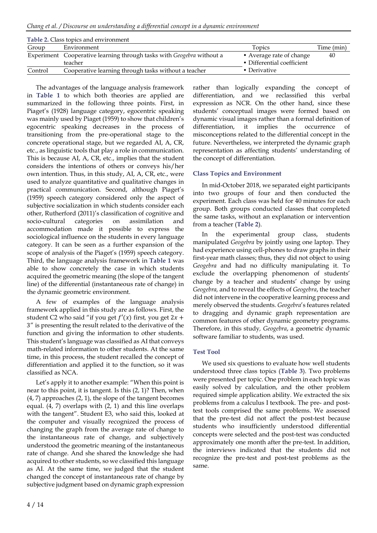|         | <b>Table 2. Class topics and environment</b>                          |                            |            |
|---------|-----------------------------------------------------------------------|----------------------------|------------|
| Group   | Environment                                                           | Topics                     | Time (min) |
|         | Experiment Cooperative learning through tasks with Geogebra without a | • Average rate of change   | 40         |
|         | teacher                                                               | • Differential coefficient |            |
| Control | Cooperative learning through tasks without a teacher                  | • Derivative               |            |

The advantages of the language analysis framework in **Table 1** to which both theories are applied are summarized in the following three points. First, in Piaget's (1928) language category, egocentric speaking was mainly used by Piaget (1959) to show that children's egocentric speaking decreases in the process of transitioning from the pre-operational stage to the concrete operational stage, but we regarded AI, A, CR, etc., as linguistic tools that play a role in communication. This is because AI, A, CR, etc., implies that the student considers the intentions of others or conveys his/her own intention. Thus, in this study, AI, A, CR, etc., were used to analyze quantitative and qualitative changes in practical communication. Second, although Piaget's (1959) speech category considered only the aspect of subjective socialization in which students consider each other, Rutherford (2011)'s classification of cognitive and socio-cultural categories on assimilation and accommodation made it possible to express the sociological influence on the students in every language category. It can be seen as a further expansion of the scope of analysis of the Piaget's (1959) speech category. Third, the language analysis framework in **Table 1** was able to show concretely the case in which students acquired the geometric meaning (the slope of the tangent line) of the differential (instantaneous rate of change) in the dynamic geometric environment.

A few of examples of the language analysis framework applied in this study are as follows. First, the student C2 who said "if you get  $f'(x)$  first, you get  $2x +$ 3" is presenting the result related to the derivative of the function and giving the information to other students. This student's language was classified as AI that conveys math-related information to other students. At the same time, in this process, the student recalled the concept of differentiation and applied it to the function, so it was classified as NCA.

Let's apply it to another example: "When this point is near to this point, it is tangent. Is this (2, 1)? Then, when (4, 7) approaches (2, 1), the slope of the tangent becomes equal. (4, 7) overlaps with (2, 1) and this line overlaps with the tangent". Student E3, who said this, looked at the computer and visually recognized the process of changing the graph from the average rate of change to the instantaneous rate of change, and subjectively understood the geometric meaning of the instantaneous rate of change. And she shared the knowledge she had acquired to other students, so we classified this language as AI. At the same time, we judged that the student changed the concept of instantaneous rate of change by subjective judgment based on dynamic graph expression rather than logically expanding the concept of differentiation, and we reclassified this verbal expression as NCR. On the other hand, since these students' conceptual images were formed based on dynamic visual images rather than a formal definition of differentiation, it implies the occurrence of misconceptions related to the differential concept in the future. Nevertheless, we interpreted the dynamic graph representation as affecting students' understanding of the concept of differentiation.

### **Class Topics and Environment**

In mid-October 2018, we separated eight participants into two groups of four and then conducted the experiment. Each class was held for 40 minutes for each group. Both groups conducted classes that completed the same tasks, without an explanation or intervention from a teacher (**Table 2**).

In the experimental group class, students manipulated *Geogebra* by jointly using one laptop. They had experience using cell-phones to draw graphs in their first-year math classes; thus, they did not object to using *Geogebra* and had no difficulty manipulating it. To exclude the overlapping phenomenon of students' change by a teacher and students' change by using *Geogebra,* and to reveal the effects of *Geogebra*, the teacher did not intervene in the cooperative learning process and merely observed the students. *Geogebra*'s features related to dragging and dynamic graph representation are common features of other dynamic geometry programs. Therefore, in this study*, Geogebra*, a geometric dynamic software familiar to students, was used.

#### **Test Tool**

We used six questions to evaluate how well students understood three class topics (**Table 3**). Two problems were presented per topic. One problem in each topic was easily solved by calculation, and the other problem required simple application ability. We extracted the six problems from a calculus I textbook. The pre- and posttest tools comprised the same problems. We assessed that the pre-test did not affect the post-test because students who insufficiently understood differential concepts were selected and the post-test was conducted approximately one month after the pre-test. In addition, the interviews indicated that the students did not recognize the pre-test and post-test problems as the same.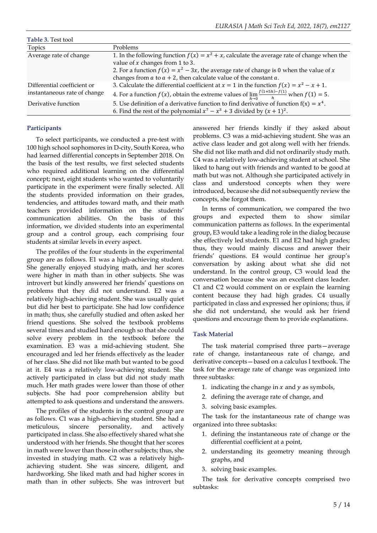| Table 3. Test tool           |                                                                                                                                                                         |
|------------------------------|-------------------------------------------------------------------------------------------------------------------------------------------------------------------------|
| Topics                       | Problems                                                                                                                                                                |
| Average rate of change       | 1. In the following function $f(x) = x^2 + x$ , calculate the average rate of change when the<br>value of $x$ changes from 1 to 3.                                      |
|                              | 2. For a function $f(x) = x^2 - 3x$ , the average rate of change is 0 when the value of x<br>changes from $a$ to $a + 2$ , then calculate value of the constant $a$ .   |
| Differential coefficient or  | 3. Calculate the differential coefficient at $x = 1$ in the function $f(x) = x^2 - x + 1$ .                                                                             |
| instantaneous rate of change | 4. For a function $f(x)$ , obtain the extreme values of $\lim_{h\to 0} \frac{f(1+5h)-f(1)}{h}$ when $f(1) = 5$ .                                                        |
| Derivative function          | 5. Use definition of a derivative function to find derivative of function $f(x) = x^4$ .<br>6. Find the rest of the polynomial $x^7 - x^3 + 3$ divided by $(x + 1)^2$ . |

#### **Participants**

To select participants, we conducted a pre-test with 100 high school sophomores in D-city, South Korea, who had learned differential concepts in September 2018. On the basis of the test results, we first selected students who required additional learning on the differential concept; next, eight students who wanted to voluntarily participate in the experiment were finally selected. All the students provided information on their grades, tendencies, and attitudes toward math, and their math teachers provided information on the students' communication abilities. On the basis of this information, we divided students into an experimental group and a control group, each comprising four students at similar levels in every aspect.

The profiles of the four students in the experimental group are as follows. E1 was a high-achieving student. She generally enjoyed studying math, and her scores were higher in math than in other subjects. She was introvert but kindly answered her friends' questions on problems that they did not understand. E2 was a relatively high-achieving student. She was usually quiet but did her best to participate. She had low confidence in math; thus, she carefully studied and often asked her friend questions. She solved the textbook problems several times and studied hard enough so that she could solve every problem in the textbook before the examination. E3 was a mid-achieving student. She encouraged and led her friends effectively as the leader of her class. She did not like math but wanted to be good at it. E4 was a relatively low-achieving student. She actively participated in class but did not study math much. Her math grades were lower than those of other subjects. She had poor comprehension ability but attempted to ask questions and understand the answers.

The profiles of the students in the control group are as follows. C1 was a high-achieving student. She had a meticulous, sincere personality, and actively participated in class. She also effectively shared what she understood with her friends. She thought that her scores in math were lower than those in other subjects; thus, she invested in studying math. C2 was a relatively highachieving student. She was sincere, diligent, and hardworking. She liked math and had higher scores in math than in other subjects. She was introvert but answered her friends kindly if they asked about problems. C3 was a mid-achieving student. She was an active class leader and got along well with her friends. She did not like math and did not ordinarily study math. C4 was a relatively low-achieving student at school. She liked to hang out with friends and wanted to be good at math but was not. Although she participated actively in class and understood concepts when they were introduced, because she did not subsequently review the concepts, she forgot them.

In terms of communication, we compared the two groups and expected them to show similar communication patterns as follows. In the experimental group, E3 would take a leading role in the dialog because she effectively led students. E1 and E2 had high grades; thus, they would mainly discuss and answer their friends' questions. E4 would continue her group's conversation by asking about what she did not understand. In the control group, C3 would lead the conversation because she was an excellent class leader. C1 and C2 would comment on or explain the learning content because they had high grades. C4 usually participated in class and expressed her opinions; thus, if she did not understand, she would ask her friend questions and encourage them to provide explanations.

#### **Task Material**

The task material comprised three parts—average rate of change, instantaneous rate of change, and derivative concepts—based on a calculus I textbook. The task for the average rate of change was organized into three subtasks:

- 1. indicating the change in  $x$  and  $y$  as symbols,
- 2. defining the average rate of change, and
- 3. solving basic examples.

The task for the instantaneous rate of change was organized into three subtasks:

- 1. defining the instantaneous rate of change or the differential coefficient at a point,
- 2. understanding its geometry meaning through graphs, and
- 3. solving basic examples.

The task for derivative concepts comprised two subtasks: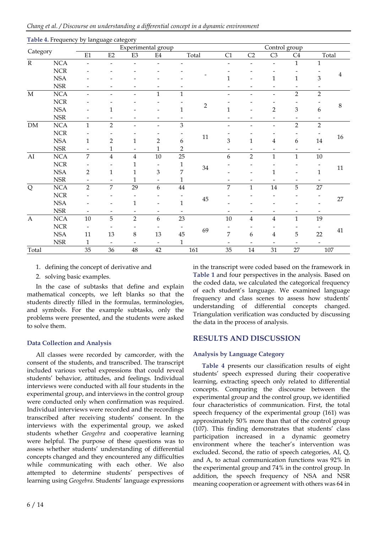|                       |                             | о                        | $\circ$                 | o<br>Experimental group |                           |                         |            |                |                         | Control group            |                             |                 |                |
|-----------------------|-----------------------------|--------------------------|-------------------------|-------------------------|---------------------------|-------------------------|------------|----------------|-------------------------|--------------------------|-----------------------------|-----------------|----------------|
| Category              |                             | $\rm E1$                 | $\rm E2$                | $\mathop{\mathrm{E3}}$  | $\mathrm{E}4$             |                         | Total      | C1             | C2                      | $\rm C3$                 | C4                          |                 | Total          |
| ${\bf R}$             | $\rm NCA$                   | $\overline{a}$           |                         |                         |                           |                         |            |                |                         | $\overline{\phantom{0}}$ | $\mathbf{1}$                | $\mathbf{1}$    |                |
|                       | $NCR$                       |                          |                         |                         |                           |                         |            |                |                         |                          |                             |                 |                |
|                       | <b>NSA</b>                  |                          |                         |                         |                           |                         |            | $\mathbf{1}$   |                         | $\mathbf{1}$             | $\mathbf{1}$                | 3               | $\overline{4}$ |
|                       | $_{\rm NSR}$                |                          |                         |                         |                           |                         |            |                |                         |                          |                             |                 |                |
| $\mathbf M$           | NCA                         | $\overline{\phantom{0}}$ |                         |                         | $\mathbf{1}$              | $\mathbf{1}$            |            |                |                         | $\overline{\phantom{a}}$ | $\overline{2}$              | $\overline{2}$  |                |
|                       | ${\rm NCR}$                 |                          |                         |                         |                           |                         |            |                |                         |                          |                             |                 | $\,8\,$        |
|                       | <b>NSA</b>                  |                          | 1                       |                         |                           | 1                       | $\sqrt{2}$ | 1              |                         | $\overline{2}$           | $\ensuremath{\mathfrak{Z}}$ | 6               |                |
|                       | $_{\rm NSR}$                |                          |                         |                         |                           |                         |            |                |                         |                          |                             |                 |                |
| ${\rm DM}$            | $\rm NCA$                   | $\mathbf{1}$             | $\overline{2}$          |                         |                           | 3                       |            |                |                         |                          | $\overline{2}$              | $\sqrt{2}$      |                |
|                       | $NCR$                       |                          |                         |                         |                           |                         | $11\,$     |                |                         |                          |                             |                 | 16             |
|                       | <b>NSA</b>                  | $\mathbf{1}$             | $\overline{2}$          | $\mathbf{1}$            | 2                         | 6                       |            | 3              | $\mathbf{1}$            | $\overline{4}$           | 6                           | $14\,$          |                |
|                       | $_{\rm NSR}$                |                          | $\mathbf{1}$            |                         | $\mathbf{1}$              | $\overline{\mathbf{c}}$ |            |                |                         |                          |                             |                 |                |
| ${\rm AI}$            | NCA                         | $\overline{7}$           | $\overline{\mathbf{4}}$ | $\overline{\mathbf{4}}$ | 10                        | 25                      |            | 6              | $\overline{2}$          | $\mathbf{1}$             | $\mathbf{1}$                | $10\,$          |                |
|                       | ${\rm NCR}$                 |                          |                         |                         |                           | 1                       |            |                |                         |                          |                             |                 | $11\,$         |
|                       | <b>NSA</b>                  | $\overline{2}$           | $\mathbf{1}$            | 1                       | $\ensuremath{\mathbf{3}}$ | 7                       | $34\,$     |                |                         | 1                        |                             | $\mathbf{1}$    |                |
|                       | $\ensuremath{\mathsf{NSR}}$ |                          |                         | 1                       |                           | 1                       |            |                |                         |                          |                             |                 |                |
| $\overline{Q}$        | <b>NCA</b>                  | $\overline{2}$           | $\overline{7}$          | 29                      | 6                         | $\bf 44$                |            | 7              | $\mathbf{1}$            | $14\,$                   | 5                           | $\overline{27}$ |                |
|                       | $NCR$                       |                          |                         |                         |                           |                         |            |                |                         |                          |                             |                 | 27             |
|                       | $_{\rm NSA}$                |                          |                         | 1                       |                           | $\mathbf{1}$            | $45\,$     |                |                         |                          |                             |                 |                |
|                       | $_{\rm NSR}$                |                          |                         |                         |                           |                         |            |                |                         |                          |                             |                 |                |
| $\boldsymbol{\rm{A}}$ | <b>NCA</b>                  | $10\,$                   | 5                       | $\overline{2}$          | 6                         | 23                      |            | 10             | $\overline{\mathbf{4}}$ | $\overline{\mathbf{4}}$  | $\mathbf{1}$                | 19              |                |
|                       | $NCR$                       | $\overline{\phantom{a}}$ |                         |                         |                           |                         |            |                |                         |                          |                             |                 |                |
|                       | <b>NSA</b>                  | 11                       | 13                      | $\,8\,$                 | 13                        | 45                      | 69         | $\overline{7}$ | 6                       | $\overline{4}$           | 5                           | 22              | $41\,$         |
|                       | $\ensuremath{\mathsf{NSR}}$ | $\mathbf 1$              |                         |                         |                           | $\mathbf{1}$            |            |                |                         |                          |                             |                 |                |
| Total                 |                             | 35                       | 36                      | 48                      | 42                        |                         | 161        | 35             | $14\,$                  | 31                       | 27                          |                 | 107            |

**Table 4.** Frequency by language category

# 1. defining the concept of derivative and

2. solving basic examples.

In the case of subtasks that define and explain mathematical concepts, we left blanks so that the students directly filled in the formulas, terminologies, and symbols. For the example subtasks, only the problems were presented, and the students were asked to solve them.

#### **Data Collection and Analysis**

All classes were recorded by camcorder, with the consent of the students, and transcribed. The transcript included various verbal expressions that could reveal students' behavior, attitudes, and feelings. Individual interviews were conducted with all four students in the experimental group, and interviews in the control group were conducted only when confirmation was required. Individual interviews were recorded and the recordings transcribed after receiving students' consent. In the interviews with the experimental group, we asked students whether *Geogebra* and cooperative learning were helpful. The purpose of these questions was to assess whether students' understanding of differential concepts changed and they encountered any difficulties while communicating with each other. We also attempted to determine students' perspectives of learning using *Geogebra*. Students' language expressions in the transcript were coded based on the framework in **Table 1** and four perspectives in the analysis. Based on the coded data, we calculated the categorical frequency of each student's language. We examined language frequency and class scenes to assess how students' understanding of differential concepts changed. Triangulation verification was conducted by discussing the data in the process of analysis.

# **RESULTS AND DISCUSSION**

# **Analysis by Language Category**

**Table 4** presents our classification results of eight students' speech expressed during their cooperative learning, extracting speech only related to differential concepts. Comparing the discourse between the experimental group and the control group, we identified four characteristics of communication. First, the total speech frequency of the experimental group (161) was approximately 50% more than that of the control group (107). This finding demonstrates that students' class participation increased in a dynamic geometry environment where the teacher's intervention was excluded. Second, the ratio of speech categories, AI, Q, and A, to actual communication functions was 92% in the experimental group and 74% in the control group. In addition, the speech frequency of NSA and NSR meaning cooperation or agreement with others was 64 in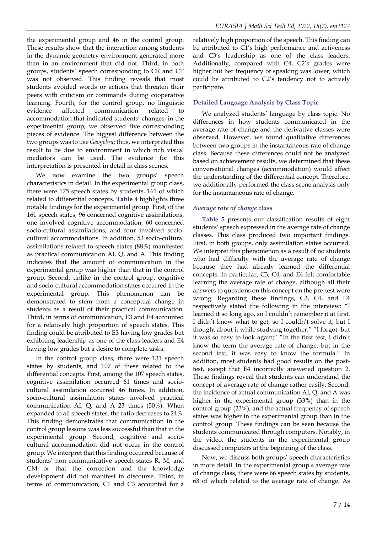the experimental group and 46 in the control group. These results show that the interaction among students in the dynamic geometry environment generated more than in an environment that did not. Third, in both groups, students' speech corresponding to CR and CT was not observed. This finding reveals that most students avoided words or actions that threaten their peers with criticism or commands during cooperative learning. Fourth, for the control group, no linguistic evidence affected communication related to accommodation that indicated students' changes; in the experimental group, we observed five corresponding pieces of evidence. The biggest difference between the two groups was to use *Geogebra*; thus, we interpreted this result to be due to environment in which rich visual mediators can be used. The evidence for this interpretation is presented in detail in class scenes.

We now examine the two groups' speech characteristics in detail. In the experimental group class, there were 175 speech states by students, 161 of which related to differential concepts. **Table 4** highlights three notable findings for the experimental group. First, of the 161 speech states, 96 concerned cognitive assimilations, one involved cognitive accommodation, 60 concerned socio-cultural assimilations, and four involved sociocultural accommodations. In addition, 53 socio-cultural assimilations related to speech states (88%) manifested as practical communication AI, Q, and A. This finding indicates that the amount of communication in the experimental group was higher than that in the control group. Second, unlike in the control group, cognitive and socio-cultural accommodation states occurred in the experimental group. This phenomenon can be demonstrated to stem from a conceptual change in students as a result of their practical communication. Third, in terms of communication, E3 and E4 accounted for a relatively high proportion of speech states. This finding could be attributed to E3 having low grades but exhibiting leadership as one of the class leaders and E4 having low grades but a desire to complete tasks.

In the control group class, there were 131 speech states by students, and 107 of these related to the differential concepts. First, among the 107 speech states, cognitive assimilation occurred 61 times and sociocultural assimilation occurred 46 times. In addition, socio-cultural assimilation states involved practical communication AI, Q, and A 23 times (50%). When expanded to all speech states, the ratio decreases to 24%. This finding demonstrates that communication in the control group lessons was less successful than that in the experimental group. Second, cognitive and sociocultural accommodation did not occur in the control group. We interpret that this finding occurred because of students' non communicative speech states R, M, and CM or that the correction and the knowledge development did not manifest in discourse. Third, in terms of communication, C1 and C3 accounted for a

relatively high proportion of the speech. This finding can be attributed to C1's high performance and activeness and C3's leadership as one of the class leaders. Additionally, compared with C4, C2's grades were higher but her frequency of speaking was lower, which could be attributed to C2's tendency not to actively participate.

## **Detailed Language Analysis by Class Topic**

We analyzed students' language by class topic. No differences in how students communicated in the average rate of change and the derivative classes were observed. However, we found qualitative differences between two groups in the instantaneous rate of change class. Because these differences could not be analyzed based on achievement results, we determined that these conversational changes (accommodation) would affect the understanding of the differential concept. Therefore, we additionally performed the class scene analysis only for the instantaneous rate of change.

#### *Average rate of change class*

**Table 5** presents our classification results of eight students' speech expressed in the average rate of change classes. This class produced two important findings. First, in both groups, only assimilation states occurred. We interpret this phenomenon as a result of no students who had difficulty with the average rate of change because they had already learned the differential concepts. In particular, C3, C4, and E4 felt comfortable learning the average rate of change, although all their answers to questions on this concept on the pre-test were wrong. Regarding these findings, C3, C4, and E4 respectively stated the following in the interview: "I learned it so long ago, so I couldn't remember it at first. I didn't know what to get, so I couldn't solve it, but I thought about it while studying together;" "I forgot, but it was so easy to look again;" "In the first test, I didn't know the term the average rate of change, but in the second test, it was easy to know the formula." In addition, most students had good results on the posttest, except that E4 incorrectly answered question 2. These findings reveal that students can understand the concept of average rate of change rather easily. Second, the incidence of actual communication AI, Q, and A was higher in the experimental group (33%) than in the control group (23%), and the actual frequency of speech states was higher in the experimental group than in the control group. These findings can be seen because the students communicated through computers. Notably, in the video, the students in the experimental group discussed computers at the beginning of the class.

Now, we discuss both groups' speech characteristics in more detail. In the experimental group's average rate of change class, there were 66 speech states by students, 63 of which related to the average rate of change. As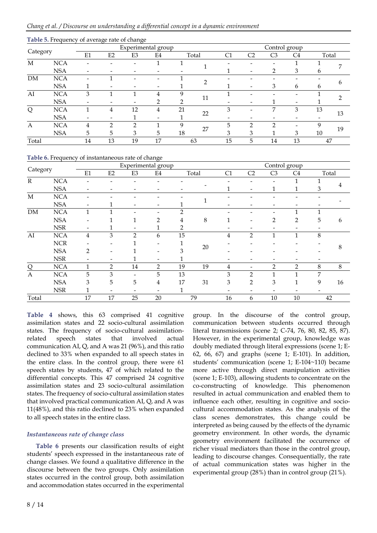|          |            |    | $\cdot$ | $\cdot$ | Experimental group |    |       |    |    | Control group  |                |       |    |
|----------|------------|----|---------|---------|--------------------|----|-------|----|----|----------------|----------------|-------|----|
| Category |            | E1 | E2      | E3      | E4                 |    | Total | C1 | C2 | C <sub>3</sub> | C <sub>4</sub> | Total |    |
| M        | <b>NCA</b> |    |         |         |                    |    |       |    |    |                |                |       |    |
|          | <b>NSA</b> |    |         |         |                    |    |       |    |    |                | 3              | 6     |    |
| DM       | <b>NCA</b> |    |         |         |                    |    |       |    |    |                |                |       |    |
|          | <b>NSA</b> |    | -       |         |                    |    |       |    |    | 3              | 6              | 6     | h  |
| AI       | <b>NCA</b> | 3  |         |         | 4                  |    |       |    |    |                |                |       |    |
|          | <b>NSA</b> |    |         |         | റ                  | ◠  | 11    |    |    |                |                |       |    |
| Q        | <b>NCA</b> |    | 4       | 12      | 4                  | 21 | 22    | 3  |    | 7              | 3              | 13    | 13 |
|          | <b>NSA</b> |    | -       |         |                    |    |       |    |    |                |                |       |    |
| A        | <b>NCA</b> | 4  | ∍       | ∍       |                    | q  | 27    | 5  | ∍  | ∍              |                | q     | 19 |
|          | <b>NSA</b> | 5  | 5       | 3       | 5                  | 18 |       | 3  | 3  |                | 3              | 10    |    |
| Total    |            | 14 | 13      | 19      | 17                 |    | 63    | 15 | 5  | 14             | 13             | 47    |    |

#### **Table 5.** Frequency of average rate of change

#### **Table 6.** Frequency of instantaneous rate of change

|                |            |              |    | Experimental group       |                          |               |    |    |                                  | Control group            |                |       |    |
|----------------|------------|--------------|----|--------------------------|--------------------------|---------------|----|----|----------------------------------|--------------------------|----------------|-------|----|
| Category       |            | E1           | E2 | E3                       | E4                       | Total         |    | C1 | C <sub>2</sub><br>C <sub>3</sub> |                          |                | Total |    |
| $\mathbb{R}$   | <b>NCA</b> |              |    |                          |                          |               |    |    |                                  |                          |                |       |    |
|                | <b>NSA</b> |              |    | -                        |                          |               |    |    |                                  |                          |                | 3     |    |
| $\mathbf M$    | <b>NCA</b> |              |    |                          |                          |               |    |    |                                  |                          |                |       |    |
|                | <b>NSA</b> | -            | 1  | $\overline{\phantom{a}}$ | $\overline{\phantom{a}}$ |               |    |    |                                  |                          |                |       |    |
| <b>DM</b>      | <b>NCA</b> | 1            | 1  |                          |                          | $\mathcal{P}$ |    |    |                                  |                          | 1              | 1     |    |
|                | <b>NSA</b> |              |    |                          | 2                        | 4             | 8  | 1  |                                  | 2                        | $\overline{2}$ | 5     | 6  |
|                | <b>NSR</b> |              | 1  |                          |                          | 2             |    |    |                                  |                          |                |       |    |
| AI             | <b>NCA</b> | 4            | 3  | $\mathfrak{D}$           | 6                        | 15            |    | 4  | $\mathcal{D}$                    | 1                        | 1              | 8     |    |
|                | <b>NCR</b> |              |    |                          |                          |               |    |    |                                  |                          |                |       |    |
|                | <b>NSA</b> | 2            |    |                          |                          | 3             | 20 |    |                                  |                          |                |       | 8  |
|                | <b>NSR</b> |              |    |                          | $\overline{\phantom{a}}$ | 1             |    |    |                                  |                          |                |       |    |
| $\overline{Q}$ | <b>NCA</b> | $\mathbf{1}$ | 2  | 14                       | $\overline{2}$           | 19            | 19 | 4  |                                  | $\overline{2}$           | $\overline{2}$ | 8     | 8  |
| $\mathbf{A}$   | <b>NCA</b> | 5            | 3  |                          | 5                        | 13            |    | 3  | $\overline{2}$                   |                          | 1              | 7     |    |
|                | <b>NSA</b> | 3            | 5  | 5                        | 4                        | 17            | 31 | 3  | 2                                | 3                        |                | 9     | 16 |
|                | <b>NSR</b> |              |    | $\overline{\phantom{a}}$ | $\overline{\phantom{0}}$ | 1             |    |    |                                  | $\overline{\phantom{0}}$ |                | ۰     |    |
| Total          |            | 17           | 17 | 25                       | 20                       |               | 79 | 16 | 6                                | 10                       | 10             | 42    |    |

**Table 4** shows, this 63 comprised 41 cognitive assimilation states and 22 socio-cultural assimilation states. The frequency of socio-cultural assimilationrelated speech states that involved actual communication AI, Q, and A was 21 (96%), and this ratio declined to 33% when expanded to all speech states in the entire class. In the control group, there were 61 speech states by students, 47 of which related to the differential concepts. This 47 comprised 24 cognitive assimilation states and 23 socio-cultural assimilation states. The frequency of socio-cultural assimilation states that involved practical communication AI, Q, and A was 11(48%), and this ratio declined to 23% when expanded to all speech states in the entire class.

#### *Instantaneous rate of change class*

**Table 6** presents our classification results of eight students' speech expressed in the instantaneous rate of change classes. We found a qualitative difference in the discourse between the two groups. Only assimilation states occurred in the control group, both assimilation and accommodation states occurred in the experimental

group. In the discourse of the control group, communication between students occurred through literal transmissions (scene 2; C-74, 76, 80, 82, 85, 87). However, in the experimental group, knowledge was doubly mediated through literal expressions (scene 1; E-62, 66, 67) and graphs (scene 1; E-101). In addition, students' communication (scene 1; E-104~110) became more active through direct manipulation activities (scene 1; E-103), allowing students to concentrate on the co-constructing of knowledge. This phenomenon resulted in actual communication and enabled them to influence each other, resulting in cognitive and sociocultural accommodation states. As the analysis of the class scenes demonstrates, this change could be interpreted as being caused by the effects of the dynamic geometry environment. In other words, the dynamic geometry environment facilitated the occurrence of richer visual mediators than those in the control group, leading to discourse changes. Consequentially, the rate of actual communication states was higher in the experimental group (28%) than in control group (21%).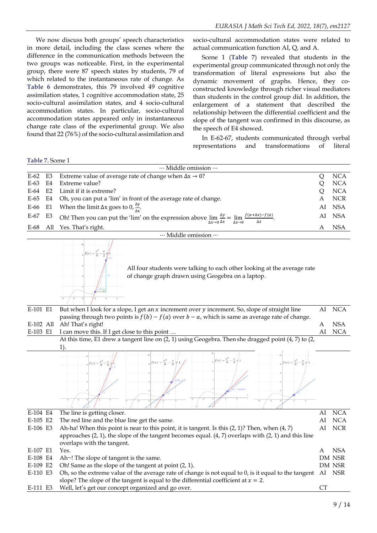We now discuss both groups' speech characteristics in more detail, including the class scenes where the difference in the communication methods between the two groups was noticeable. First, in the experimental group, there were 87 speech states by students, 79 of which related to the instantaneous rate of change. As **Table 6** demonstrates, this 79 involved 49 cognitive assimilation states, 1 cognitive accommodation state, 25 socio-cultural assimilation states, and 4 socio-cultural accommodation states. In particular, socio-cultural accommodation states appeared only in instantaneous change rate class of the experimental group. We also found that 22 (76%) of the socio-cultural assimilation and socio-cultural accommodation states were related to actual communication function AI, Q, and A.

Scene 1 (**Table 7**) revealed that students in the experimental group communicated through not only the transformation of literal expressions but also the dynamic movement of graphs. Hence, they coconstructed knowledge through richer visual mediators than students in the control group did. In addition, the enlargement of a statement that described the relationship between the differential coefficient and the slope of the tangent was confirmed in this discourse, as the speech of E4 showed.

In E-62-67, students communicated through verbal representations and transformations of literal

**Table 7.** Scene 1

|             |    | Middle omission                                                                                                                                                            |   |            |
|-------------|----|----------------------------------------------------------------------------------------------------------------------------------------------------------------------------|---|------------|
| $E-62$ $E3$ |    | Extreme value of average rate of change when $\Delta x \rightarrow 0$ ?                                                                                                    |   | <b>NCA</b> |
| E-63        |    | E4 Extreme value?                                                                                                                                                          | O | <b>NCA</b> |
|             |    | E-64 E2 Limit if it is extreme?                                                                                                                                            | O | <b>NCA</b> |
|             |    | E-65 E4 Oh, you can put a 'lim' in front of the average rate of change.                                                                                                    | A | <b>NCR</b> |
|             |    | E-66 E1 When the limit $\Delta x$ goes to 0, $\frac{\Delta y}{\Delta x}$ .                                                                                                 |   | AI NSA     |
| E-67        | E3 | Oh! Then you can put the 'lim' on the expression above $\lim_{\Delta x \to 0} \frac{\Delta y}{\Delta x} = \lim_{\Delta x \to 0} \frac{f(a + \Delta x) - f(a)}{\Delta x}$ . |   | AI NSA     |
| E-68        |    | All Yes. That's right.                                                                                                                                                     | A | <b>NSA</b> |
|             |    | ··· Middle omission ···                                                                                                                                                    |   |            |

All four students were talking to each other looking at the average rate of change graph drawn using Geogebra on a laptop.

| E-101 E1  | But when I look for a slope, I get an x increment over y increment. So, slope of straight line                                                                       | AI           | <b>NCA</b> |
|-----------|----------------------------------------------------------------------------------------------------------------------------------------------------------------------|--------------|------------|
|           | passing through two points is $f(b) - f(a)$ over $b - a$ , which is same as average rate of change.                                                                  |              |            |
| E-102 All | Ah! That's right!                                                                                                                                                    | A            | <b>NSA</b> |
| E-103 E1  | I can move this. If I get close to this point                                                                                                                        | AI           | <b>NCA</b> |
|           | At this time, E1 drew a tangent line on (2, 1) using Geogebra. Then she dragged point (4, 7) to (2,                                                                  |              |            |
|           | $1$ ).                                                                                                                                                               |              |            |
|           | $f(x) = \frac{x^3}{8} - \frac{x}{2}$<br>$f(x) = \frac{x^3}{8} - \frac{x}{2} + 1$<br>$f(x) = \frac{x^3}{8} - \frac{x}{2} + 1$<br>$f(x) = \frac{x^3}{8} - \frac{x}{2}$ |              |            |
|           |                                                                                                                                                                      |              |            |
| E-104 E4  | The line is getting closer.                                                                                                                                          | AI           | <b>NCA</b> |
| E-105 E2  | The red line and the blue line get the same.                                                                                                                         | AI           | <b>NCA</b> |
| E-106 E3  | Ah-ha! When this point is near to this point, it is tangent. Is this $(2, 1)$ ? Then, when $(4, 7)$                                                                  | AI           | <b>NCR</b> |
|           | approaches $(2, 1)$ , the slope of the tangent becomes equal. $(4, 7)$ overlaps with $(2, 1)$ and this line<br>overlaps with the tangent.                            |              |            |
| E-107 E1  | Yes.                                                                                                                                                                 | $\mathsf{A}$ | <b>NSA</b> |
| E-108 E4  | Ah~! The slope of tangent is the same.                                                                                                                               |              | DM NSR     |
| E-109 E2  | Oh! Same as the slope of the tangent at point (2, 1).                                                                                                                |              | DM NSR     |
| F 440 F0  | $\bigcap_{i=1}^{n}$ d 1 d $\bigcap_{i=1}^{n}$ d 1 d $\bigcap_{i=1}^{n}$ d 1 d $\bigcap_{i=1}^{n}$ d 1 d $\bigcap_{i=1}^{n}$                                          |              | AT AICD    |

E-110 E3 Oh, so the extreme value of the average rate of change is not equal to 0, is it equal to the tangent AI NSR slope? The slope of the tangent is equal to the differential coefficient at  $x = 2$ . E-111 E3 Well, let's get our concept organized and go over. CT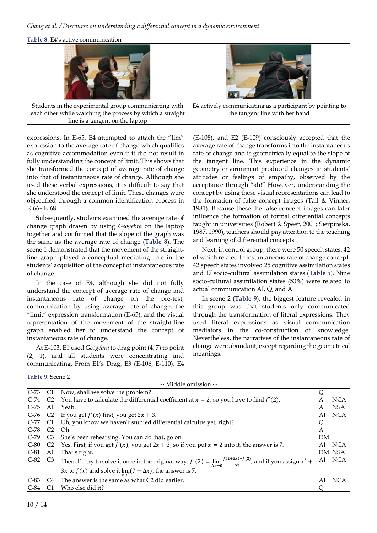**Table 8.** E4's active communication





Students in the experimental group communicating with each other while watching the process by which a straight line is a tangent on the laptop

E4 actively communicating as a participant by pointing to the tangent line with her hand

expressions. In E-65, E4 attempted to attach the "lim" expression to the average rate of change which qualifies as cognitive accommodation even if it did not result in fully understanding the concept of limit. This shows that she transformed the concept of average rate of change into that of instantaneous rate of change. Although she used these verbal expressions, it is difficult to say that she understood the concept of limit. These changes were objectified through a common identification process in E-66∼E-68.

Subsequently, students examined the average rate of change graph drawn by using *Geogebra* on the laptop together and confirmed that the slope of the graph was the same as the average rate of change (**Table 8**). The scene 1 demonstrated that the movement of the straightline graph played a conceptual mediating role in the students' acquisition of the concept of instantaneous rate of change.

In the case of E4, although she did not fully understand the concept of average rate of change and instantaneous rate of change on the pre-test, communication by using average rate of change, the "limit" expression transformation (E-65), and the visual representation of the movement of the straight-line graph enabled her to understand the concept of instantaneous rate of change.

At E-103, E1 used *Geogebra* to drag point (4, 7) to point (2, 1), and all students were concentrating and communicating. From E1's Drag, E3 (E-106, E-110), E4

(E-108), and E2 (E-109) consciously accepted that the average rate of change transforms into the instantaneous rate of change and is geometrically equal to the slope of the tangent line. This experience in the dynamic geometry environment produced changes in students' attitudes or feelings of empathy, observed by the acceptance through "ah!" However, understanding the concept by using these visual representations can lead to the formation of false concept images (Tall & Vinner, 1981). Because these the false concept images can later influence the formation of formal differential concepts taught in universities (Robert & Speer, 2001; Sierpinska, 1987, 1990), teachers should pay attention to the teaching and learning of differential concepts.

Next, in control group, there were 50 speech states, 42 of which related to instantaneous rate of change concept. 42 speech states involved 25 cognitive assimilation states and 17 socio-cultural assimilation states (**Table 5**). Nine socio-cultural assimilation states (53%) were related to actual communication AI, Q, and A.

In scene 2 (**Table 9**), the biggest feature revealed in this group was that students only communicated through the transformation of literal expressions. They used literal expressions as visual communication mediators in the co-construction of knowledge. Nevertheless, the narratives of the instantaneous rate of change were abundant, except regarding the geometrical meanings.

**Table 9.** Scene 2

|             |                | Middle omission                                                                                                                                        |    |            |
|-------------|----------------|--------------------------------------------------------------------------------------------------------------------------------------------------------|----|------------|
| $C-73$ $C1$ |                | Now, shall we solve the problem?                                                                                                                       | Q  |            |
| $C-74$      |                | C2 You have to calculate the differential coefficient at $x = 2$ , so you have to find $f'(2)$ .                                                       | A  | <b>NCA</b> |
| $C-75$      | All            | Yeah.                                                                                                                                                  | A  | <b>NSA</b> |
| $C-76$      |                | C2 If you get $f'(x)$ first, you get $2x + 3$ .                                                                                                        | AI | <b>NCA</b> |
|             |                | C-77 C1 Uh, you know we haven't studied differential calculus yet, right?                                                                              | Q  |            |
| $C-78$      | C2             | Oh.                                                                                                                                                    | A  |            |
| $C-79$      | C <sub>3</sub> | She's been rehearsing. You can do that, go on.                                                                                                         | DM |            |
| $C-80$      | C <sub>2</sub> | Yes. First, if you get $f'(x)$ , you get $2x + 3$ , so if you put $x = 2$ into it, the answer is 7.                                                    | AI | <b>NCA</b> |
| $C-81$      | All            | That's right.                                                                                                                                          |    | DM NSA     |
| $C-82$ $C3$ |                | Then, I'll try to solve it once in the original way. $f'(2) = \lim_{\Delta x \to 0} \frac{f(2+\Delta x) - f(2)}{\Delta x}$ , and if you assign $x^2 +$ |    | AI NCA     |
|             |                | 3 <i>x</i> to <i>f</i> ( <i>x</i> ) and solve it $\lim_{x\to 2}$ (7 + $\Delta$ <i>x</i> ), the answer is 7.                                            |    |            |
| $C-83$      | C:4            | The answer is the same as what C2 did earlier.                                                                                                         | AI | <b>NCA</b> |
| $C-84$      |                | Who else did it?                                                                                                                                       |    |            |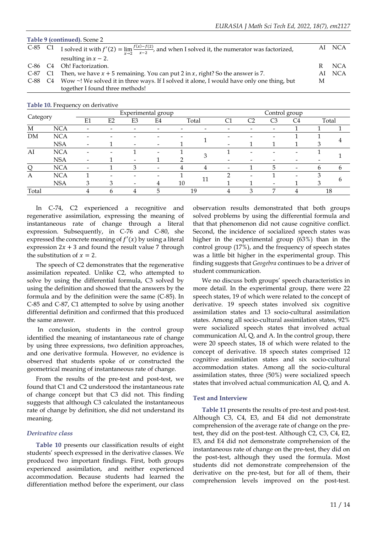|             | Table 9 (continued). Scene 2                                                                                         |    |            |
|-------------|----------------------------------------------------------------------------------------------------------------------|----|------------|
| $C-85$ $C1$ | I solved it with $f'(2) = \lim_{x\to 2} \frac{f(x)-f(2)}{x-2}$ , and when I solved it, the numerator was factorized, |    | AI NCA     |
|             | resulting in $x - 2$ .                                                                                               |    |            |
| $C-86$ $C4$ | Oh! Factorization.                                                                                                   | R  | <b>NCA</b> |
| C-87        | C1 Then, we have $x + 5$ remaining. You can put 2 in $x$ , right? So the answer is 7.                                | AL | NCA        |
|             | C-88 C4 Wow ~! We solved it in three ways. If I solved it alone, I would have only one thing, but                    | M  |            |
|             | together I found three methods!                                                                                      |    |            |

**Table 10.** Frequency on derivative

|          |            |                          |    |                              | Experimental group       |    |       |                          | Control group  |                |                          |              |       |  |  |
|----------|------------|--------------------------|----|------------------------------|--------------------------|----|-------|--------------------------|----------------|----------------|--------------------------|--------------|-------|--|--|
| Category |            | E1                       | E2 | E3                           | E4                       |    | Total | C1                       | C <sub>2</sub> | C <sub>3</sub> | C <sub>4</sub>           |              | Total |  |  |
| M        | <b>NCA</b> |                          |    |                              | -                        |    |       |                          |                | -              |                          |              |       |  |  |
| DM       | <b>NCA</b> |                          |    |                              |                          |    |       |                          |                |                |                          |              |       |  |  |
|          | <b>NSA</b> | $\overline{\phantom{0}}$ |    |                              | $\overline{\phantom{a}}$ |    |       |                          |                |                |                          |              |       |  |  |
| AI       | <b>NCA</b> |                          |    |                              | $\overline{\phantom{a}}$ |    |       |                          |                |                | -                        |              |       |  |  |
|          | <b>NSA</b> | $\overline{\phantom{a}}$ |    |                              |                          |    |       |                          |                |                |                          |              |       |  |  |
|          | <b>NCA</b> |                          |    | ٦                            | -                        |    |       | $\overline{\phantom{a}}$ |                |                | $\overline{\phantom{0}}$ | <sub>b</sub> | h     |  |  |
| A        | <b>NCA</b> |                          |    |                              | $\overline{\phantom{a}}$ |    |       | ◠                        |                |                | $\overline{\phantom{0}}$ | っ            |       |  |  |
|          | <b>NSA</b> | 3                        |    | $\qquad \qquad \blacksquare$ | 4                        | 10 | 11    |                          |                | -              |                          |              | h     |  |  |
| Total    |            | 4                        |    |                              | 5                        |    | 19    | 4                        | κ              | ⇁              |                          | 18           |       |  |  |

In C-74, C2 experienced a recognitive and regenerative assimilation, expressing the meaning of instantaneous rate of change through a literal expression. Subsequently, in C-76 and C-80, she expressed the concrete meaning of  $f'(x)$  by using a literal expression  $2x + 3$  and found the result value 7 through the substitution of  $x = 2$ .

The speech of C2 demonstrates that the regenerative assimilation repeated. Unlike C2, who attempted to solve by using the differential formula, C3 solved by using the definition and showed that the answers by the formula and by the definition were the same (C-85). In C-85 and C-87, C1 attempted to solve by using another differential definition and confirmed that this produced the same answer.

In conclusion, students in the control group identified the meaning of instantaneous rate of change by using three expressions, two definition approaches, and one derivative formula. However, no evidence is observed that students spoke of or constructed the geometrical meaning of instantaneous rate of change.

From the results of the pre-test and post-test, we found that C1 and C2 understood the instantaneous rate of change concept but that C3 did not. This finding suggests that although C3 calculated the instantaneous rate of change by definition, she did not understand its meaning.

#### *Derivative class*

**Table 10** presents our classification results of eight students' speech expressed in the derivative classes. We produced two important findings. First, both groups experienced assimilation, and neither experienced accommodation. Because students had learned the differentiation method before the experiment, our class

observation results demonstrated that both groups solved problems by using the differential formula and that that phenomenon did not cause cognitive conflict. Second, the incidence of socialized speech states was higher in the experimental group (63%) than in the control group (17%), and the frequency of speech states was a little bit higher in the experimental group. This finding suggests that *Geogebra* continues to be a driver of student communication.

We no discuss both groups' speech characteristics in more detail. In the experimental group, there were 22 speech states, 19 of which were related to the concept of derivative. 19 speech states involved six cognitive assimilation states and 13 socio-cultural assimilation states. Among all socio-cultural assimilation states, 92% were socialized speech states that involved actual communication AI, Q, and A. In the control group, there were 20 speech states, 18 of which were related to the concept of derivative. 18 speech states comprised 12 cognitive assimilation states and six socio-cultural accommodation states. Among all the socio-cultural assimilation states, three (50%) were socialized speech states that involved actual communication AI, Q, and A.

#### **Test and Interview**

**Table 11** presents the results of pre-test and post-test. Although C3, C4, E3, and E4 did not demonstrate comprehension of the average rate of change on the pretest, they did on the post-test. Although C2, C3, C4, E2, E3, and E4 did not demonstrate comprehension of the instantaneous rate of change on the pre-test, they did on the post-test, although they used the formula. Most students did not demonstrate comprehension of the derivative on the pre-test, but for all of them, their comprehension levels improved on the post-test.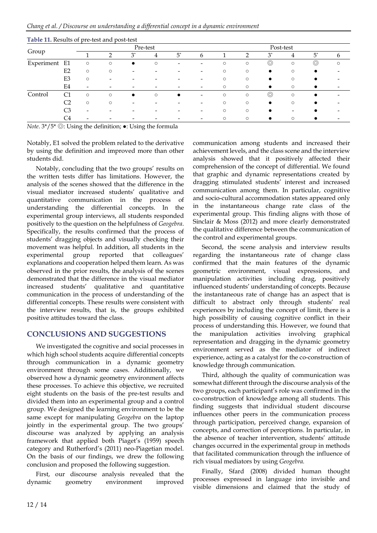|            |                |         |                          |           | Pre-test |                          |                          | Post-test |         |                |                          |                |         |  |  |
|------------|----------------|---------|--------------------------|-----------|----------|--------------------------|--------------------------|-----------|---------|----------------|--------------------------|----------------|---------|--|--|
| Group      |                |         | ∍                        | $3^*$     | 4        | $5^*$                    | $\mathsf{h}$             |           | ി       | $3^*$          | 4                        | $5^*$          | h       |  |  |
| Experiment | E1             | $\circ$ | $\circ$                  | $\bullet$ | $\circ$  | $\overline{\phantom{a}}$ | $\overline{\phantom{0}}$ | $\circ$   | $\circ$ | $\circledcirc$ | $\circ$                  | $\circledcirc$ | $\circ$ |  |  |
|            | E2             | $\circ$ | $\circ$                  | -         |          |                          | -                        | $\circ$   | $\circ$ |                | $\circ$                  | $\bullet$      |         |  |  |
|            | E <sub>3</sub> | $\circ$ | $\overline{\phantom{a}}$ |           |          |                          |                          | $\circ$   | $\circ$ |                | $\circ$                  |                |         |  |  |
|            | E4             |         |                          |           |          |                          | -                        | $\circ$   | $\circ$ | $\bullet$      | $\circ$                  | $\bullet$      |         |  |  |
| Control    | С1             | $\circ$ | $\circ$                  | $\bullet$ | $\circ$  |                          | -                        | $\circ$   | $\circ$ | $_{\odot}$     | $\circ$                  |                |         |  |  |
|            | C2             | $\circ$ | $\circ$                  | -         |          |                          | -                        | $\circ$   | $\circ$ |                | $\circ$                  | $\bullet$      |         |  |  |
|            | C3             |         |                          |           |          |                          |                          | $\circ$   | $\circ$ |                | $\overline{\phantom{a}}$ |                |         |  |  |
|            | C4             |         |                          |           |          |                          |                          | $\circ$   | $\circ$ |                | $\circ$                  |                |         |  |  |

**Table 11.** Results of pre-test and post-test

*Note*. 3\*/5\* ◎: Using the definition; ●: Using the formula

Notably, E1 solved the problem related to the derivative by using the definition and improved more than other students did.

Notably, concluding that the two groups' results on the written tests differ has limitations. However, the analysis of the scenes showed that the difference in the visual mediator increased students' qualitative and quantitative communication in the process of understanding the differential concepts. In the experimental group interviews, all students responded positively to the question on the helpfulness of *Geogebra*. Specifically, the results confirmed that the process of students' dragging objects and visually checking their movement was helpful. In addition, all students in the experimental group reported that colleagues' explanations and cooperation helped them learn. As was observed in the prior results, the analysis of the scenes demonstrated that the difference in the visual mediator increased students' qualitative and quantitative communication in the process of understanding of the differential concepts. These results were consistent with the interview results, that is, the groups exhibited positive attitudes toward the class.

# **CONCLUSIONS AND SUGGESTIONS**

We investigated the cognitive and social processes in which high school students acquire differential concepts through communication in a dynamic geometry environment through some cases. Additionally, we observed how a dynamic geometry environment affects these processes. To achieve this objective, we recruited eight students on the basis of the pre-test results and divided them into an experimental group and a control group. We designed the learning environment to be the same except for manipulating *Geogebra* on the laptop jointly in the experimental group. The two groups' discourse was analyzed by applying an analysis framework that applied both Piaget's (1959) speech category and Rutherford's (2011) neo-Piagetian model. On the basis of our findings, we drew the following conclusion and proposed the following suggestion.

First, our discourse analysis revealed that the dynamic geometry environment improved communication among students and increased their achievement levels, and the class scene and the interview analysis showed that it positively affected their comprehension of the concept of differential. We found that graphic and dynamic representations created by dragging stimulated students' interest and increased communication among them. In particular, cognitive and socio-cultural accommodation states appeared only in the instantaneous change rate class of the experimental group. This finding aligns with those of Sinclair & Moss (2012) and more clearly demonstrated the qualitative difference between the communication of the control and experimental groups.

Second, the scene analysis and interview results regarding the instantaneous rate of change class confirmed that the main features of the dynamic geometric environment, visual expressions, and manipulation activities including drag, positively influenced students' understanding of concepts. Because the instantaneous rate of change has an aspect that is difficult to abstract only through students' real experiences by including the concept of limit, there is a high possibility of causing cognitive conflict in their process of understanding this. However, we found that the manipulation activities involving graphical representation and dragging in the dynamic geometry environment served as the mediator of indirect experience, acting as a catalyst for the co-construction of knowledge through communication.

Third, although the quality of communication was somewhat different through the discourse analysis of the two groups, each participant's role was confirmed in the co-construction of knowledge among all students. This finding suggests that individual student discourse influences other peers in the communication process through participation, perceived change, expansion of concepts, and correction of perceptions. In particular, in the absence of teacher intervention, students' attitude changes occurred in the experimental group in methods that facilitated communication through the influence of rich visual mediators by using *Geogebra.*

Finally, Sfard (2008) divided human thought processes expressed in language into invisible and visible dimensions and claimed that the study of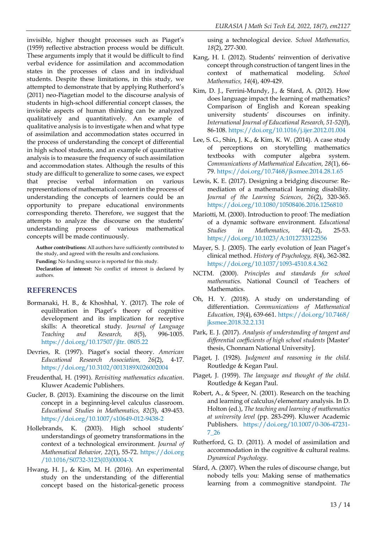invisible, higher thought processes such as Piaget's (1959) reflective abstraction process would be difficult. These arguments imply that it would be difficult to find verbal evidence for assimilation and accommodation states in the processes of class and in individual students. Despite these limitations, in this study, we attempted to demonstrate that by applying Rutherford's (2011) neo-Piagetian model to the discourse analysis of students in high-school differential concept classes, the invisible aspects of human thinking can be analyzed qualitatively and quantitatively. An example of qualitative analysis is to investigate when and what type of assimilation and accommodation states occurred in the process of understanding the concept of differential in high school students, and an example of quantitative analysis is to measure the frequency of such assimilation and accommodation states. Although the results of this study are difficult to generalize to some cases, we expect that precise verbal information on various representations of mathematical content in the process of understanding the concepts of learners could be an opportunity to prepare educational environments corresponding thereto. Therefore, we suggest that the attempts to analyze the discourse on the students' understanding process of various mathematical concepts will be made continuously.

**Author contributions:** All authors have sufficiently contributed to the study, and agreed with the results and conclusions.

**Funding:** No funding source is reported for this study.

**Declaration of interest:** No conflict of interest is declared by authors.

# **REFERENCES**

- Bormanaki, H. B., & Khoshhal, Y. (2017). The role of equilibration in Piaget's theory of cognitive development and its implication for receptive skills: A theoretical study. *Journal of Language Teaching and Research, 8*(5), 996-1005. [https://doi.org/10.17507/jltr. 0805.22](https://doi.org/10.17507/jltr.%200805.22)
- Devries, R. (1997). Piaget's social theory. *American Educational Research Association, 26*(2), 4-17. <https://doi.org/10.3102/0013189X026002004>
- Freudenthal, H. (1991). *Revisiting mathematics education*. Kluwer Academic Publishers.
- Gucler, B. (2013). Examining the discourse on the limit concept in a beginning-level calculus classroom. *Educational Studies in Mathematics, 82*(3), 439-453. <https://doi.org/10.1007/s10649-012-9438-2>
- Hollebrands, K. (2003). High school students' understandings of geometry transformations in the context of a technological environment. *Journal of Mathematical Behavior, 22*(1), 55-72. [https://doi.org](https://doi.org/10.1016/S0732-3123(03)00004-X) [/10.1016/S0732-3123\(03\)00004-X](https://doi.org/10.1016/S0732-3123(03)00004-X)
- Hwang, H. J., & Kim, M. H. (2016). An experimental study on the understanding of the differential concept based on the historical-genetic process

using a technological device. *School Mathematics, 18*(2), 277-300.

- Kang, H. I. (2012). Students' reinvention of derivative concept through construction of tangent lines in the context of mathematical modeling. *School Mathematics, 14*(4), 409-429.
- Kim, D. J., Ferrini-Mundy, J., & Sfard, A. (2012). How does language impact the learning of mathematics? Comparison of English and Korean speaking university students' discourses on infinity. *International Journal of Educational Research, 51-52*(0), 86-108. <https://doi.org/10.1016/j.ijer.2012.01.004>
- Lee, S. G., Shin, J. K., & Kim, K. W. (2014). A case study of perceptions on storytelling mathematics textbooks with computer algebra system. *Communications of Mathematical Education, 28*(1), 66- 79. <https://doi.org/10.7468/jksmee.2014.28.1.65>
- Lewis, K. E. (2017). Designing a bridging discourse: Remediation of a mathematical learning disability. *Journal of the Learning Sciences, 26*(2), 320-365. <https://doi.org/10.1080/10508406.2016.1256810>
- Mariotti, M. (2000). Introduction to proof: The mediation of a dynamic software environment. *Educational Studies in Mathematics*, *44*(1-2), 25-53. <https://doi.org/10.1023/A:1012733122556>
- Mayer, S. J. (2005). The early evolution of Jean Piaget's clinical method. *History of Psychology, 8*(4), 362-382. <https://doi.org/10.1037/1093-4510.8.4.362>
- NCTM. (2000). *Principles and standards for school mathemati*cs. National Council of Teachers of Mathematics.
- Oh, H. Y. (2018). A study on understanding of differentiation. *Communications of Mathematical Education, 19*(4), 639-661. [https://doi.org/10.7468/](https://doi.org/10.7468/jksmee.2018.32.2.131) [jksmee.2018.32.2.131](https://doi.org/10.7468/jksmee.2018.32.2.131)
- Park, E. J. (2017). *Analysis of understanding of tangent and differential coefficients of high school students* [Master' thesis, Chonnam National University].
- Piaget, J. (1928). *Judgment and reasoning in the child*. Routledge & Kegan Paul.
- Piaget, J. (1959). *The language and thought of the child*. Routledge & Kegan Paul.
- Robert, A., & Speer, N. (2001). Research on the teaching and learning of calculus/elementary analysis. In D. Holton (ed.), *The teaching and learning of mathematics at university level* (pp. 283-299). Kluwer Academic Publishers. [https://doi.org/10.1007/0-306-47231-](https://doi.org/10.1007/0-306-47231-7_26) [7\\_26](https://doi.org/10.1007/0-306-47231-7_26)
- Rutherford, G. D. (2011). A model of assimilation and accommodation in the cognitive & cultural realms. *Dynamical Psychology*.
- Sfard, A. (2007). When the rules of discourse change, but nobody tells you: Making sense of mathematics learning from a commognitive standpoint. *The*